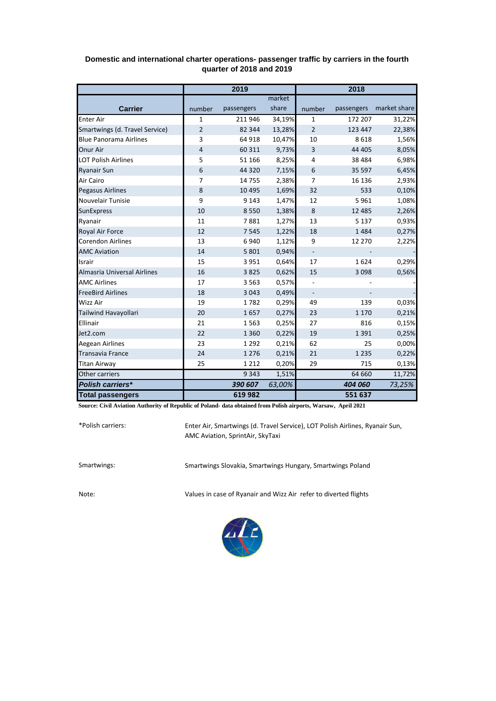|                                | 2019           |            |        | 2018                     |            |              |
|--------------------------------|----------------|------------|--------|--------------------------|------------|--------------|
|                                |                |            | market |                          |            |              |
| <b>Carrier</b>                 | number         | passengers | share  | number                   | passengers | market share |
| <b>Enter Air</b>               | $\mathbf{1}$   | 211 946    | 34,19% | 1                        | 172 207    | 31,22%       |
| Smartwings (d. Travel Service) | $\overline{2}$ | 82 344     | 13,28% | $\overline{2}$           | 123 447    | 22,38%       |
| <b>Blue Panorama Airlines</b>  | 3              | 64 918     | 10,47% | 10                       | 8618       | 1,56%        |
| Onur Air                       | $\overline{4}$ | 60 311     | 9,73%  | 3                        | 44 405     | 8,05%        |
| <b>LOT Polish Airlines</b>     | 5              | 51 166     | 8,25%  | 4                        | 38 4 84    | 6,98%        |
| <b>Ryanair Sun</b>             | 6              | 44 3 20    | 7,15%  | 6                        | 35 597     | 6,45%        |
| Air Cairo                      | 7              | 14 7 5 5   | 2,38%  | $\overline{7}$           | 16 136     | 2,93%        |
| <b>Pegasus Airlines</b>        | 8              | 10 4 95    | 1,69%  | 32                       | 533        | 0,10%        |
| Nouvelair Tunisie              | 9              | 9 1 4 3    | 1,47%  | 12                       | 5961       | 1,08%        |
| <b>SunExpress</b>              | 10             | 8 5 5 0    | 1,38%  | $\bf 8$                  | 12 4 8 5   | 2,26%        |
| Ryanair                        | 11             | 7881       | 1,27%  | 13                       | 5 1 3 7    | 0,93%        |
| Royal Air Force                | 12             | 7 5 4 5    | 1,22%  | 18                       | 1484       | 0,27%        |
| <b>Corendon Airlines</b>       | 13             | 6940       | 1,12%  | 9                        | 12 270     | 2,22%        |
| <b>AMC Aviation</b>            | 14             | 5 8 0 1    | 0,94%  | $\overline{\phantom{a}}$ |            |              |
| Israir                         | 15             | 3 9 5 1    | 0,64%  | 17                       | 1624       | 0,29%        |
| Almasria Universal Airlines    | 16             | 3825       | 0,62%  | 15                       | 3 0 9 8    | 0,56%        |
| <b>AMC Airlines</b>            | 17             | 3 5 6 3    | 0,57%  |                          |            |              |
| <b>FreeBird Airlines</b>       | 18             | 3 0 4 3    | 0,49%  | $\overline{\phantom{a}}$ |            |              |
| Wizz Air                       | 19             | 1782       | 0,29%  | 49                       | 139        | 0,03%        |
| Tailwind Havayollari           | 20             | 1657       | 0,27%  | 23                       | 1 1 7 0    | 0,21%        |
| Ellinair                       | 21             | 1563       | 0,25%  | 27                       | 816        | 0,15%        |
| Jet2.com                       | 22             | 1 3 6 0    | 0,22%  | 19                       | 1 3 9 1    | 0,25%        |
| Aegean Airlines                | 23             | 1 2 9 2    | 0,21%  | 62                       | 25         | 0,00%        |
| <b>Transavia France</b>        | 24             | 1 2 7 6    | 0,21%  | 21                       | 1 2 3 5    | 0,22%        |
| <b>Titan Airway</b>            | 25             | 1 2 1 2    | 0,20%  | 29                       | 715        | 0,13%        |
| Other carriers                 |                | 9 3 4 3    | 1,51%  |                          | 64 660     | 11,72%       |
| <b>Polish carriers*</b>        |                | 390 607    | 63,00% |                          | 404 060    | 73,25%       |
| <b>Total passengers</b>        |                | 619982     |        |                          | 551 637    |              |

## **Domestic and international charter operations- passenger traffic by carriers in the fourth quarter of 2018 and 2019**

**Source: Civil Aviation Authority of Republic of Poland- data obtained from Polish airports, Warsaw, April 2021**

\*Polish carriers:

Enter Air, Smartwings (d. Travel Service), LOT Polish Airlines, Ryanair Sun, AMC Aviation, SprintAir, SkyTaxi

Smartwings: Smartwings Slovakia, Smartwings Hungary, Smartwings Poland

Note: Values in case of Ryanair and Wizz Air refer to diverted flights